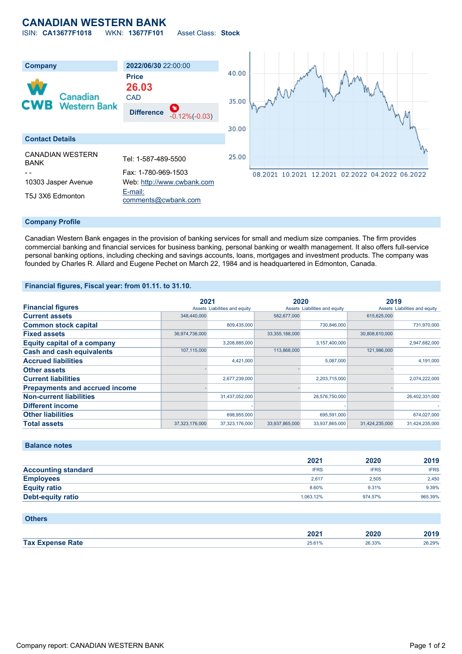## **CANADIAN WESTERN BANK** ISIN: **CA13677F1018** WKN: **13677F101** Asset Class: **Stock**

**Company 2022/06/30** 22:00:00 40.00 **Price 26.03** Canadian **CAD** 35.00 **Western Bank Difference** -0.12%(-0.03) 30.00 **Contact Details** CANADIAN WESTERN 25.00 CANADIAN WESTERN Tel: 1-587-489-5500 - - Fax: 1-780-969-1503 08.2021 10.2021 12.2021 02.2022 04.2022 06.2022 10303 Jasper Avenue Web: [http://www.cwbank.com](http://www.cwbank.com/) T5J 3X6 Edmonton [E-mail:](mailto:comments@cwbank.com) [comments@cwbank.com](mailto:comments@cwbank.com)

#### **Company Profile**

Canadian Western Bank engages in the provision of banking services for small and medium size companies. The firm provides commercial banking and financial services for business banking, personal banking or wealth management. It also offers full-service personal banking options, including checking and savings accounts, loans, mortgages and investment products. The company was founded by Charles R. Allard and Eugene Pechet on March 22, 1984 and is headquartered in Edmonton, Canada.

#### **Financial figures, Fiscal year: from 01.11. to 31.10.**

|                                       | 2021           |                               | 2020           |                               | 2019           |                               |
|---------------------------------------|----------------|-------------------------------|----------------|-------------------------------|----------------|-------------------------------|
| <b>Financial figures</b>              |                | Assets Liabilities and equity |                | Assets Liabilities and equity |                | Assets Liabilities and equity |
| <b>Current assets</b>                 | 348,440,000    |                               | 582,677,000    |                               | 615,625,000    |                               |
| <b>Common stock capital</b>           |                | 809.435.000                   |                | 730,846,000                   |                | 731,970,000                   |
| <b>Fixed assets</b>                   | 36,974,736,000 |                               | 33,355,188,000 |                               | 30,808,610,000 |                               |
| <b>Equity capital of a company</b>    |                | 3,208,885,000                 |                | 3,157,400,000                 |                | 2,947,682,000                 |
| <b>Cash and cash equivalents</b>      | 107,115,000    |                               | 113,868,000    |                               | 121,986,000    |                               |
| <b>Accrued liabilities</b>            |                | 4,421,000                     |                | 5,087,000                     |                | 4,191,000                     |
| <b>Other assets</b>                   |                |                               |                |                               |                |                               |
| <b>Current liabilities</b>            |                | 2,677,239,000                 |                | 2,203,715,000                 |                | 2,074,222,000                 |
| <b>Prepayments and accrued income</b> |                |                               |                |                               |                |                               |
| <b>Non-current liabilities</b>        |                | 31,437,052,000                |                | 28,576,750,000                |                | 26,402,331,000                |
| <b>Different income</b>               |                |                               |                |                               |                |                               |
| <b>Other liabilities</b>              |                | 698.955.000                   |                | 695,591,000                   |                | 674,027,000                   |
| <b>Total assets</b>                   | 37,323,176,000 | 37,323,176,000                | 33,937,865,000 | 33,937,865,000                | 31,424,235,000 | 31,424,235,000                |

#### **Balance notes**

|                            | 2021        | 2020        | 2019        |
|----------------------------|-------------|-------------|-------------|
| <b>Accounting standard</b> | <b>IFRS</b> | <b>IFRS</b> | <b>IFRS</b> |
| <b>Employees</b>           | 2.617       | 2.505       | 2.450       |
| <b>Equity ratio</b>        | 8.60%       | 9.31%       | 9.39%       |
| Debt-equity ratio          | 1.063.12%   | 974.57%     | 965.39%     |

#### **Others**

|                         | 2021   | 2020   | 2019   |
|-------------------------|--------|--------|--------|
| <b>Tax Expense Rate</b> | 25.61% | 26.33% | 26.29% |